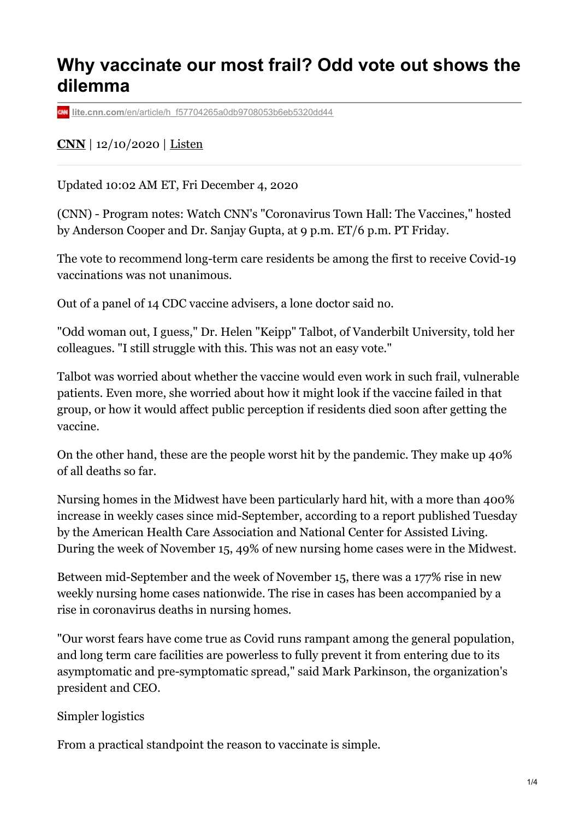## **Why vaccinate our most frail? Odd vote out shows the dilemma**

**lite.cnn.com**[/en/article/h\\_f57704265a0db9708053b6eb5320dd44](https://lite.cnn.com/en/article/h_f57704265a0db9708053b6eb5320dd44)

## **[CNN](https://lite.cnn.com/en)** | 12/10/2020 | [Listen](https://lite.cnn.com/en/audioplayer)

Updated 10:02 AM ET, Fri December 4, 2020

(CNN) - Program notes: Watch CNN's "Coronavirus Town Hall: The Vaccines," hosted by Anderson Cooper and Dr. Sanjay Gupta, at 9 p.m. ET/6 p.m. PT Friday.

The vote to recommend long-term care residents be among the first to receive Covid-19 vaccinations was not unanimous.

Out of a panel of 14 CDC vaccine advisers, a lone doctor said no.

"Odd woman out, I guess," Dr. Helen "Keipp" Talbot, of Vanderbilt University, told her colleagues. "I still struggle with this. This was not an easy vote."

Talbot was worried about whether the vaccine would even work in such frail, vulnerable patients. Even more, she worried about how it might look if the vaccine failed in that group, or how it would affect public perception if residents died soon after getting the vaccine.

On the other hand, these are the people worst hit by the pandemic. They make up 40% of all deaths so far.

Nursing homes in the Midwest have been particularly hard hit, with a more than 400% increase in weekly cases since mid-September, according to a report published Tuesday by the American Health Care Association and National Center for Assisted Living. During the week of November 15, 49% of new nursing home cases were in the Midwest.

Between mid-September and the week of November 15, there was a 177% rise in new weekly nursing home cases nationwide. The rise in cases has been accompanied by a rise in coronavirus deaths in nursing homes.

"Our worst fears have come true as Covid runs rampant among the general population, and long term care facilities are powerless to fully prevent it from entering due to its asymptomatic and pre-symptomatic spread," said Mark Parkinson, the organization's president and CEO.

Simpler logistics

From a practical standpoint the reason to vaccinate is simple.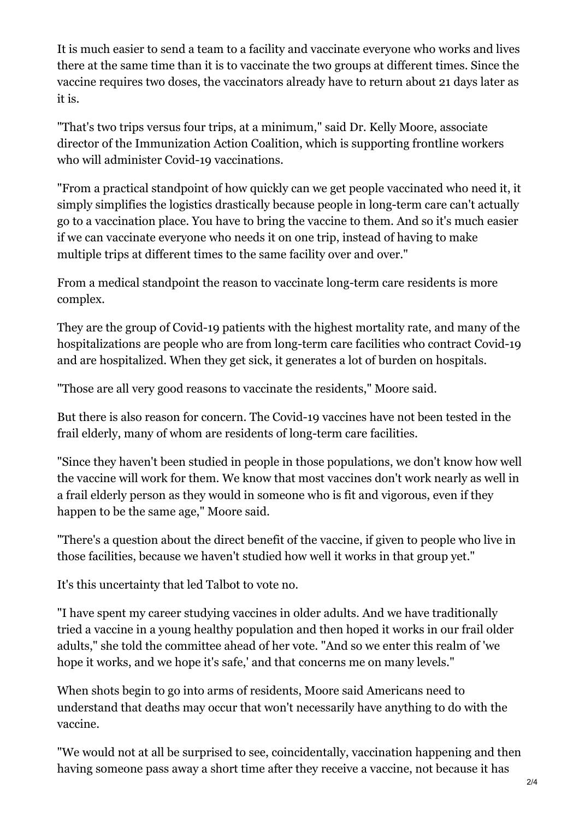It is much easier to send a team to a facility and vaccinate everyone who works and lives there at the same time than it is to vaccinate the two groups at different times. Since the vaccine requires two doses, the vaccinators already have to return about 21 days later as it is.

"That's two trips versus four trips, at a minimum," said Dr. Kelly Moore, associate director of the Immunization Action Coalition, which is supporting frontline workers who will administer Covid-19 vaccinations.

"From a practical standpoint of how quickly can we get people vaccinated who need it, it simply simplifies the logistics drastically because people in long-term care can't actually go to a vaccination place. You have to bring the vaccine to them. And so it's much easier if we can vaccinate everyone who needs it on one trip, instead of having to make multiple trips at different times to the same facility over and over."

From a medical standpoint the reason to vaccinate long-term care residents is more complex.

They are the group of Covid-19 patients with the highest mortality rate, and many of the hospitalizations are people who are from long-term care facilities who contract Covid-19 and are hospitalized. When they get sick, it generates a lot of burden on hospitals.

"Those are all very good reasons to vaccinate the residents," Moore said.

But there is also reason for concern. The Covid-19 vaccines have not been tested in the frail elderly, many of whom are residents of long-term care facilities.

"Since they haven't been studied in people in those populations, we don't know how well the vaccine will work for them. We know that most vaccines don't work nearly as well in a frail elderly person as they would in someone who is fit and vigorous, even if they happen to be the same age," Moore said.

"There's a question about the direct benefit of the vaccine, if given to people who live in those facilities, because we haven't studied how well it works in that group yet."

It's this uncertainty that led Talbot to vote no.

"I have spent my career studying vaccines in older adults. And we have traditionally tried a vaccine in a young healthy population and then hoped it works in our frail older adults," she told the committee ahead of her vote. "And so we enter this realm of 'we hope it works, and we hope it's safe,' and that concerns me on many levels."

When shots begin to go into arms of residents, Moore said Americans need to understand that deaths may occur that won't necessarily have anything to do with the vaccine.

"We would not at all be surprised to see, coincidentally, vaccination happening and then having someone pass away a short time after they receive a vaccine, not because it has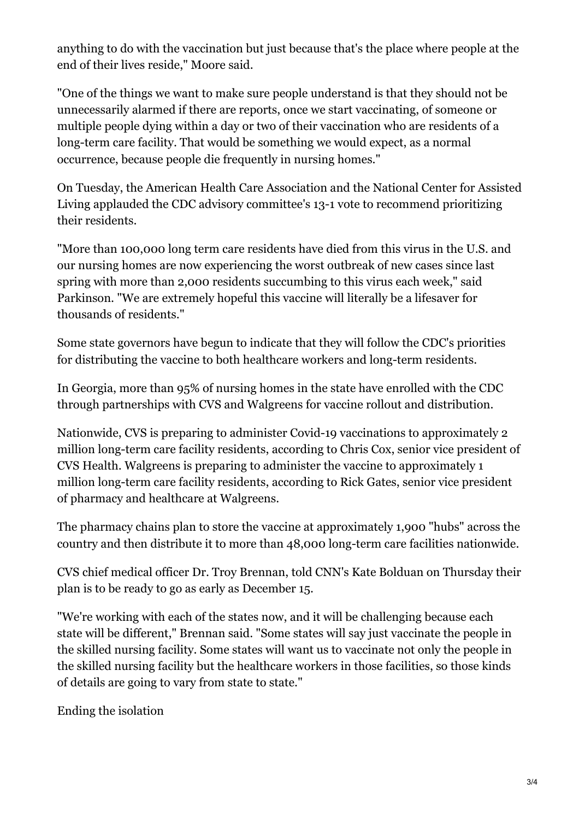anything to do with the vaccination but just because that's the place where people at the end of their lives reside," Moore said.

"One of the things we want to make sure people understand is that they should not be unnecessarily alarmed if there are reports, once we start vaccinating, of someone or multiple people dying within a day or two of their vaccination who are residents of a long-term care facility. That would be something we would expect, as a normal occurrence, because people die frequently in nursing homes."

On Tuesday, the American Health Care Association and the National Center for Assisted Living applauded the CDC advisory committee's 13-1 vote to recommend prioritizing their residents.

"More than 100,000 long term care residents have died from this virus in the U.S. and our nursing homes are now experiencing the worst outbreak of new cases since last spring with more than 2,000 residents succumbing to this virus each week," said Parkinson. "We are extremely hopeful this vaccine will literally be a lifesaver for thousands of residents."

Some state governors have begun to indicate that they will follow the CDC's priorities for distributing the vaccine to both healthcare workers and long-term residents.

In Georgia, more than 95% of nursing homes in the state have enrolled with the CDC through partnerships with CVS and Walgreens for vaccine rollout and distribution.

Nationwide, CVS is preparing to administer Covid-19 vaccinations to approximately 2 million long-term care facility residents, according to Chris Cox, senior vice president of CVS Health. Walgreens is preparing to administer the vaccine to approximately 1 million long-term care facility residents, according to Rick Gates, senior vice president of pharmacy and healthcare at Walgreens.

The pharmacy chains plan to store the vaccine at approximately 1,900 "hubs" across the country and then distribute it to more than 48,000 long-term care facilities nationwide.

CVS chief medical officer Dr. Troy Brennan, told CNN's Kate Bolduan on Thursday their plan is to be ready to go as early as December 15.

"We're working with each of the states now, and it will be challenging because each state will be different," Brennan said. "Some states will say just vaccinate the people in the skilled nursing facility. Some states will want us to vaccinate not only the people in the skilled nursing facility but the healthcare workers in those facilities, so those kinds of details are going to vary from state to state."

Ending the isolation